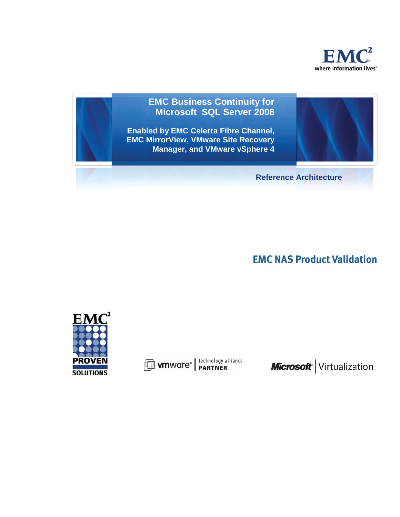

# **EMC Business Continuity for Microsoft SQL Server 2008**

**Enabled by EMC Celerra Fibre Channel, EMC MirrorView, VMware Site Recovery Manager, and VMware vSphere 4**

**Reference Architecture**

**EMC NAS Product Validation** 



**D** wware<sup>®</sup> | technology alliance

Microsoft Virtualization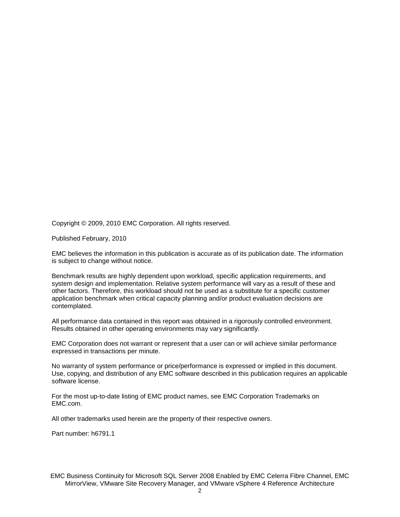Copyright © 2009, 2010 EMC Corporation. All rights reserved.

Published February, 2010

EMC believes the information in this publication is accurate as of its publication date. The information is subject to change without notice.

Benchmark results are highly dependent upon workload, specific application requirements, and system design and implementation. Relative system performance will vary as a result of these and other factors. Therefore, this workload should not be used as a substitute for a specific customer application benchmark when critical capacity planning and/or product evaluation decisions are contemplated.

All performance data contained in this report was obtained in a rigorously controlled environment. Results obtained in other operating environments may vary significantly.

EMC Corporation does not warrant or represent that a user can or will achieve similar performance expressed in transactions per minute.

No warranty of system performance or price/performance is expressed or implied in this document. Use, copying, and distribution of any EMC software described in this publication requires an applicable software license.

For the most up-to-date listing of EMC product names, see EMC Corporation Trademarks on EMC.com.

All other trademarks used herein are the property of their respective owners.

Part number: h6791.1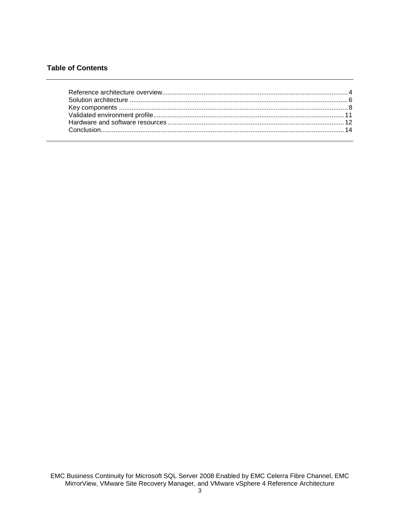### **Table of Contents**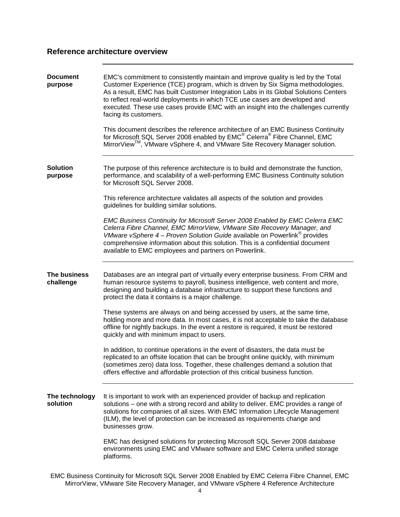## <span id="page-3-0"></span>**Reference architecture overview**

| <b>Document</b><br>purpose | EMC's commitment to consistently maintain and improve quality is led by the Total<br>Customer Experience (TCE) program, which is driven by Six Sigma methodologies.<br>As a result, EMC has built Customer Integration Labs in its Global Solutions Centers<br>to reflect real-world deployments in which TCE use cases are developed and<br>executed. These use cases provide EMC with an insight into the challenges currently<br>facing its customers.<br>This document describes the reference architecture of an EMC Business Continuity<br>for Microsoft SQL Server 2008 enabled by EMC® Celerra® Fibre Channel, EMC<br>MirrorView™, VMware vSphere 4, and VMware Site Recovery Manager solution. |
|----------------------------|---------------------------------------------------------------------------------------------------------------------------------------------------------------------------------------------------------------------------------------------------------------------------------------------------------------------------------------------------------------------------------------------------------------------------------------------------------------------------------------------------------------------------------------------------------------------------------------------------------------------------------------------------------------------------------------------------------|
| <b>Solution</b><br>purpose | The purpose of this reference architecture is to build and demonstrate the function,<br>performance, and scalability of a well-performing EMC Business Continuity solution<br>for Microsoft SQL Server 2008.<br>This reference architecture validates all aspects of the solution and provides                                                                                                                                                                                                                                                                                                                                                                                                          |
|                            | guidelines for building similar solutions.<br>EMC Business Continuity for Microsoft Server 2008 Enabled by EMC Celerra EMC<br>Celerra Fibre Channel, EMC MirrorView, VMware Site Recovery Manager, and<br>VMware vSphere $4$ – Proven Solution Guide available on Powerlink <sup>®</sup> provides<br>comprehensive information about this solution. This is a confidential document<br>available to EMC employees and partners on Powerlink.                                                                                                                                                                                                                                                            |
| The business<br>challenge  | Databases are an integral part of virtually every enterprise business. From CRM and<br>human resource systems to payroll, business intelligence, web content and more,<br>designing and building a database infrastructure to support these functions and<br>protect the data it contains is a major challenge.                                                                                                                                                                                                                                                                                                                                                                                         |
|                            | These systems are always on and being accessed by users, at the same time,<br>holding more and more data. In most cases, it is not acceptable to take the database<br>offline for nightly backups. In the event a restore is required, it must be restored<br>quickly and with minimum impact to users.                                                                                                                                                                                                                                                                                                                                                                                                 |
|                            | In addition, to continue operations in the event of disasters, the data must be<br>replicated to an offsite location that can be brought online quickly, with minimum<br>(sometimes zero) data loss. Together, these challenges demand a solution that<br>offers effective and affordable protection of this critical business function.                                                                                                                                                                                                                                                                                                                                                                |
| The technology<br>solution | It is important to work with an experienced provider of backup and replication<br>solutions – one with a strong record and ability to deliver. EMC provides a range of<br>solutions for companies of all sizes. With EMC Information Lifecycle Management<br>(ILM), the level of protection can be increased as requirements change and<br>businesses grow.                                                                                                                                                                                                                                                                                                                                             |
|                            | EMC has designed solutions for protecting Microsoft SQL Server 2008 database<br>environments using EMC and VMware software and EMC Celerra unified storage<br>platforms.                                                                                                                                                                                                                                                                                                                                                                                                                                                                                                                                |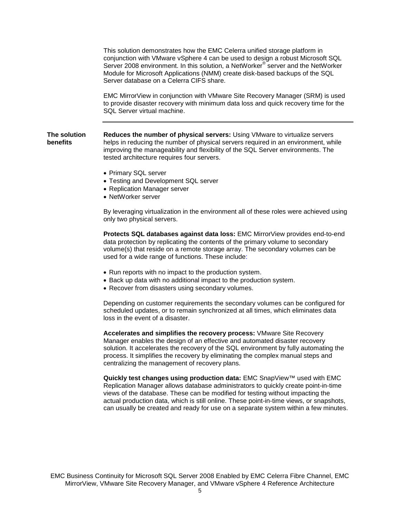This solution demonstrates how the EMC Celerra unified storage platform in conjunction with VMware vSphere 4 can be used to design a robust Microsoft SQL Server 2008 environment. In this solution, a NetWorker® server and the NetWorker Module for Microsoft Applications (NMM) create disk-based backups of the SQL Server database on a Celerra CIFS share.

EMC MirrorView in conjunction with VMware Site Recovery Manager (SRM) is used to provide disaster recovery with minimum data loss and quick recovery time for the SQL Server virtual machine.

**The solution benefits Reduces the number of physical servers:** Using VMware to virtualize servers helps in reducing the number of physical servers required in an environment, while improving the manageability and flexibility of the SQL Server environments. The tested architecture requires four servers.

- Primary SQL server
- Testing and Development SQL server
- Replication Manager server
- NetWorker server

By leveraging virtualization in the environment all of these roles were achieved using only two physical servers.

**Protects SQL databases against data loss:** EMC MirrorView provides end-to-end data protection by replicating the contents of the primary volume to secondary volume(s) that reside on a remote storage array. The secondary volumes can be used for a wide range of functions. These include:

- Run reports with no impact to the production system.
- Back up data with no additional impact to the production system.
- Recover from disasters using secondary volumes.

Depending on customer requirements the secondary volumes can be configured for scheduled updates, or to remain synchronized at all times, which eliminates data loss in the event of a disaster.

**Accelerates and simplifies the recovery process:** VMware Site Recovery Manager enables the design of an effective and automated disaster recovery solution. It accelerates the recovery of the SQL environment by fully automating the process. It simplifies the recovery by eliminating the complex manual steps and centralizing the management of recovery plans.

**Quickly test changes using production data:** EMC SnapView™ used with EMC Replication Manager allows database administrators to quickly create point-in-time views of the database. These can be modified for testing without impacting the actual production data, which is still online. These point-in-time views, or snapshots, can usually be created and ready for use on a separate system within a few minutes.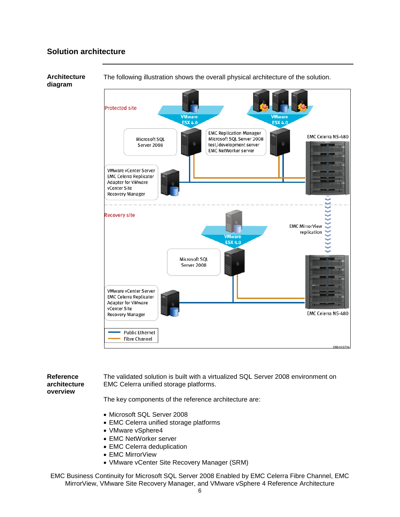# <span id="page-5-0"></span>**Solution architecture**



The following illustration shows the overall physical architecture of the solution.

#### **diagram**

**Reference architecture overview** The validated solution is built with a virtualized SQL Server 2008 environment on EMC Celerra unified storage platforms. The key components of the reference architecture are:

- Microsoft SQL Server 2008
- EMC Celerra unified storage platforms
- VMware vSphere4
- EMC NetWorker server
- EMC Celerra deduplication
- EMC MirrorView
- VMware vCenter Site Recovery Manager (SRM)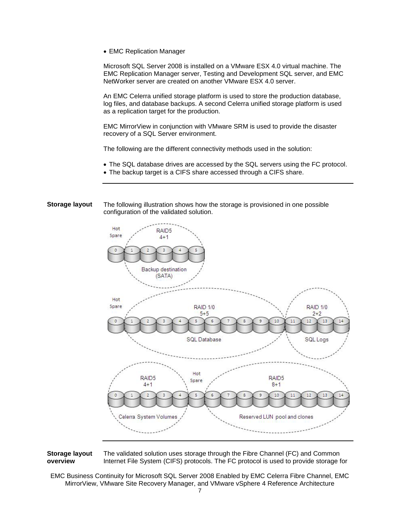• EMC Replication Manager

Microsoft SQL Server 2008 is installed on a VMware ESX 4.0 virtual machine. The EMC Replication Manager server, Testing and Development SQL server, and EMC NetWorker server are created on another VMware ESX 4.0 server.

An EMC Celerra unified storage platform is used to store the production database, log files, and database backups. A second Celerra unified storage platform is used as a replication target for the production.

EMC MirrorView in conjunction with VMware SRM is used to provide the disaster recovery of a SQL Server environment.

The following are the different connectivity methods used in the solution:

- The SQL database drives are accessed by the SQL servers using the FC protocol.
- The backup target is a CIFS share accessed through a CIFS share.

**Storage layout** The following illustration shows how the storage is provisioned in one possible configuration of the validated solution.



#### **Storage layout overview** The validated solution uses storage through the Fibre Channel (FC) and Common Internet File System (CIFS) protocols. The FC protocol is used to provide storage for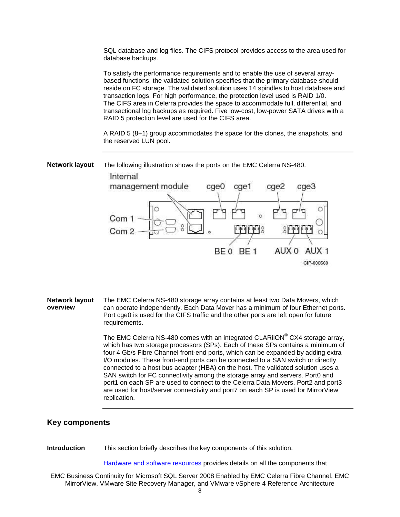SQL database and log files. The CIFS protocol provides access to the area used for database backups.

To satisfy the performance requirements and to enable the use of several arraybased functions, the validated solution specifies that the primary database should reside on FC storage. The validated solution uses 14 spindles to host database and transaction logs. For high performance, the protection level used is RAID 1/0. The CIFS area in Celerra provides the space to accommodate full, differential, and transactional log backups as required. Five low-cost, low-power SATA drives with a RAID 5 protection level are used for the CIFS area.

A RAID 5 (8+1) group accommodates the space for the clones, the snapshots, and the reserved LUN pool.

**Network layout** The following illustration shows the ports on the EMC Celerra NS-480.



**Network layout overview** The EMC Celerra NS-480 storage array contains at least two Data Movers, which can operate independently. Each Data Mover has a minimum of four Ethernet ports. Port cge0 is used for the CIFS traffic and the other ports are left open for future requirements.

> The EMC Celerra NS-480 comes with an integrated CLARiiON<sup>®</sup> CX4 storage array, which has two storage processors (SPs). Each of these SPs contains a minimum of four 4 Gb/s Fibre Channel front-end ports, which can be expanded by adding extra I/O modules. These front-end ports can be connected to a SAN switch or directly connected to a host bus adapter (HBA) on the host. The validated solution uses a SAN switch for FC connectivity among the storage array and servers. Port0 and port1 on each SP are used to connect to the Celerra Data Movers. Port2 and port3 are used for host/server connectivity and port7 on each SP is used for MirrorView replication.

#### <span id="page-7-0"></span>**Key components**

**Introduction** This section briefly describes the key components of this solution.

[Hardware and software resources](#page-10-1) provides details on all the components that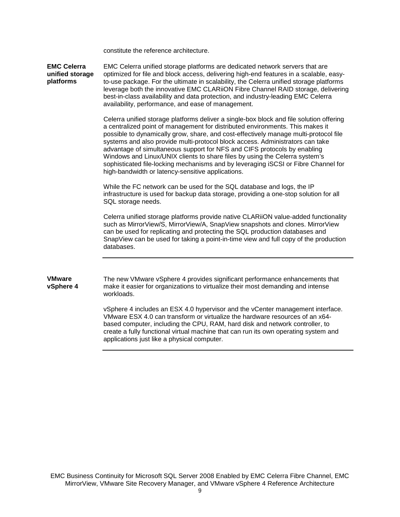constitute the reference architecture.

**EMC Celerra unified storage platforms** EMC Celerra unified storage platforms are dedicated network servers that are optimized for file and block access, delivering high-end features in a scalable, easyto-use package. For the ultimate in scalability, the Celerra unified storage platforms leverage both the innovative EMC CLARiiON Fibre Channel RAID storage, delivering best-in-class availability and data protection, and industry-leading EMC Celerra availability, performance, and ease of management.

> Celerra unified storage platforms deliver a single-box block and file solution offering a centralized point of management for distributed environments. This makes it possible to dynamically grow, share, and cost-effectively manage multi-protocol file systems and also provide multi-protocol block access. Administrators can take advantage of simultaneous support for NFS and CIFS protocols by enabling Windows and Linux/UNIX clients to share files by using the Celerra system's sophisticated file-locking mechanisms and by leveraging iSCSI or Fibre Channel for high-bandwidth or latency-sensitive applications.

While the FC network can be used for the SQL database and logs, the IP infrastructure is used for backup data storage, providing a one-stop solution for all SQL storage needs.

Celerra unified storage platforms provide native CLARiiON value-added functionality such as MirrorView/S, MirrorView/A, SnapView snapshots and clones. MirrorView can be used for replicating and protecting the SQL production databases and SnapView can be used for taking a point-in-time view and full copy of the production databases.

#### **VMware vSphere 4** The new VMware vSphere 4 provides significant performance enhancements that make it easier for organizations to virtualize their most demanding and intense workloads.

vSphere 4 includes an ESX 4.0 hypervisor and the vCenter management interface. VMware ESX 4.0 can transform or virtualize the hardware resources of an x64 based computer, including the CPU, RAM, hard disk and network controller, to create a fully functional virtual machine that can run its own operating system and applications just like a physical computer.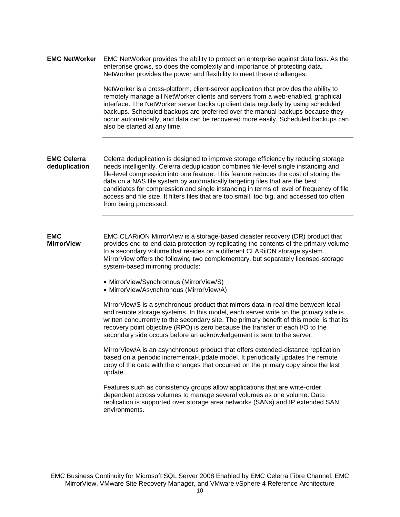| <b>EMC NetWorker</b> | EMC NetWorker provides the ability to protect an enterprise against data loss. As the |  |  |
|----------------------|---------------------------------------------------------------------------------------|--|--|
|                      | enterprise grows, so does the complexity and importance of protecting data.           |  |  |
|                      | NetWorker provides the power and flexibility to meet these challenges.                |  |  |

NetWorker is a cross-platform, client-server application that provides the ability to remotely manage all NetWorker clients and servers from a web-enabled, graphical interface. The NetWorker server backs up client data regularly by using scheduled backups. Scheduled backups are preferred over the manual backups because they occur automatically, and data can be recovered more easily. Scheduled backups can also be started at any time.

#### **EMC Celerra deduplication** Celerra deduplication is designed to improve storage efficiency by reducing storage needs intelligently. Celerra deduplication combines file-level single instancing and file-level compression into one feature. This feature reduces the cost of storing the data on a NAS file system by automatically targeting files that are the best candidates for compression and single instancing in terms of level of frequency of file access and file size. It filters files that are too small, too big, and accessed too often from being processed.

**EMC MirrorView** EMC CLARiiON MirrorView is a storage-based disaster recovery (DR) product that provides end-to-end data protection by replicating the contents of the primary volume to a secondary volume that resides on a different CLARiiON storage system. MirrorView offers the following two complementary, but separately licensed-storage system-based mirroring products:

- MirrorView/Synchronous (MirrorView/S)
- MirrorView/Asynchronous (MirrorView/A)

MirrorView/S is a synchronous product that mirrors data in real time between local and remote storage systems. In this model, each server write on the primary side is written concurrently to the secondary site. The primary benefit of this model is that its recovery point objective (RPO) is zero because the transfer of each I/O to the secondary side occurs before an acknowledgement is sent to the server.

MirrorView/A is an asynchronous product that offers extended-distance replication based on a periodic incremental-update model. It periodically updates the remote copy of the data with the changes that occurred on the primary copy since the last update.

Features such as consistency groups allow applications that are write-order dependent across volumes to manage several volumes as one volume. Data replication is supported over storage area networks (SANs) and IP extended SAN environments.

EMC Business Continuity for Microsoft SQL Server 2008 Enabled by EMC Celerra Fibre Channel, EMC MirrorView, VMware Site Recovery Manager, and VMware vSphere 4 Reference Architecture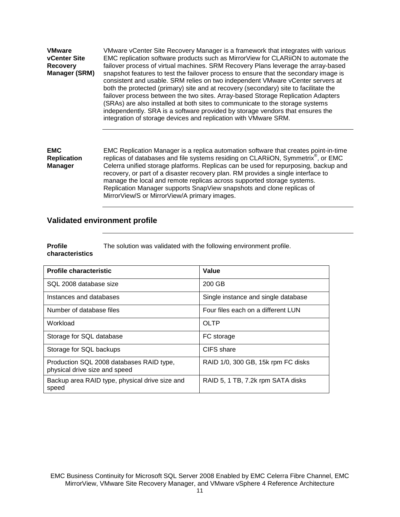| <b>VMware</b><br><b>vCenter Site</b><br><b>Recovery</b><br>Manager (SRM) | VMware vCenter Site Recovery Manager is a framework that integrates with various<br>EMC replication software products such as MirrorView for CLARiiON to automate the<br>failover process of virtual machines. SRM Recovery Plans leverage the array-based<br>snapshot features to test the failover process to ensure that the secondary image is<br>consistent and usable. SRM relies on two independent VMware vCenter servers at<br>both the protected (primary) site and at recovery (secondary) site to facilitate the<br>failover process between the two sites. Array-based Storage Replication Adapters<br>(SRAs) are also installed at both sites to communicate to the storage systems<br>independently. SRA is a software provided by storage vendors that ensures the<br>integration of storage devices and replication with VMware SRM. |
|--------------------------------------------------------------------------|-------------------------------------------------------------------------------------------------------------------------------------------------------------------------------------------------------------------------------------------------------------------------------------------------------------------------------------------------------------------------------------------------------------------------------------------------------------------------------------------------------------------------------------------------------------------------------------------------------------------------------------------------------------------------------------------------------------------------------------------------------------------------------------------------------------------------------------------------------|
| <b>EMC</b>                                                               | EMC Replication Manager is a replica automation software that creates point-in-time                                                                                                                                                                                                                                                                                                                                                                                                                                                                                                                                                                                                                                                                                                                                                                   |
| <b>Replication</b>                                                       | replicas of databases and file systems residing on CLARiiON, Symmetrix <sup>®</sup> , or EMC                                                                                                                                                                                                                                                                                                                                                                                                                                                                                                                                                                                                                                                                                                                                                          |

**Manager**

Celerra unified storage platforms. Replicas can be used for repurposing, backup and recovery, or part of a disaster recovery plan. RM provides a single interface to manage the local and remote replicas across supported storage systems. Replication Manager supports SnapView snapshots and clone replicas of MirrorView/S or MirrorView/A primary images.

### <span id="page-10-0"></span>**Validated environment profile**

**Profile characteristics** The solution was validated with the following environment profile.

<span id="page-10-1"></span>

| <b>Profile characteristic</b>                                             | Value                               |
|---------------------------------------------------------------------------|-------------------------------------|
| SQL 2008 database size                                                    | 200 GB                              |
| Instances and databases                                                   | Single instance and single database |
| Number of database files                                                  | Four files each on a different LUN  |
| Workload                                                                  | OLTP                                |
| Storage for SQL database                                                  | FC storage                          |
| Storage for SQL backups                                                   | CIFS share                          |
| Production SQL 2008 databases RAID type,<br>physical drive size and speed | RAID 1/0, 300 GB, 15k rpm FC disks  |
| Backup area RAID type, physical drive size and<br>speed                   | RAID 5, 1 TB, 7.2k rpm SATA disks   |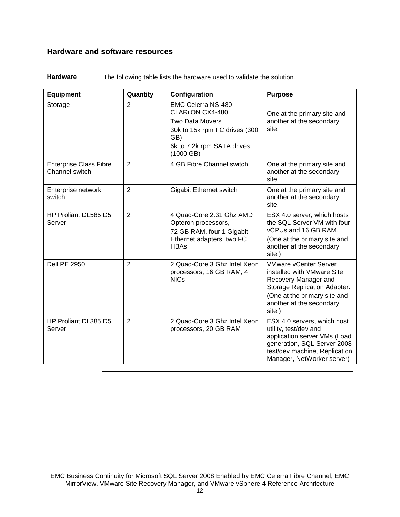# <span id="page-11-0"></span>**Hardware and software resources**

| <b>Hardware</b><br>The following table lists the hardware used to validate the solution. |  |
|------------------------------------------------------------------------------------------|--|
|------------------------------------------------------------------------------------------|--|

| <b>Equipment</b>                                | Quantity       | Configuration                                                                                                                                                | <b>Purpose</b>                                                                                                                                                                           |
|-------------------------------------------------|----------------|--------------------------------------------------------------------------------------------------------------------------------------------------------------|------------------------------------------------------------------------------------------------------------------------------------------------------------------------------------------|
| Storage                                         | $\overline{2}$ | <b>EMC Celerra NS-480</b><br><b>CLARIION CX4-480</b><br>Two Data Movers<br>30k to 15k rpm FC drives (300<br>GB)<br>6k to 7.2k rpm SATA drives<br>$(1000$ GB) | One at the primary site and<br>another at the secondary<br>site.                                                                                                                         |
| <b>Enterprise Class Fibre</b><br>Channel switch | $\overline{2}$ | 4 GB Fibre Channel switch                                                                                                                                    | One at the primary site and<br>another at the secondary<br>site.                                                                                                                         |
| Enterprise network<br>switch                    | $\overline{2}$ | Gigabit Ethernet switch                                                                                                                                      | One at the primary site and<br>another at the secondary<br>site.                                                                                                                         |
| HP Proliant DL585 D5<br>Server                  | $\overline{2}$ | 4 Quad-Core 2.31 Ghz AMD<br>Opteron processors,<br>72 GB RAM, four 1 Gigabit<br>Ethernet adapters, two FC<br><b>HBAs</b>                                     | ESX 4.0 server, which hosts<br>the SQL Server VM with four<br>vCPUs and 16 GB RAM.<br>(One at the primary site and<br>another at the secondary<br>site.)                                 |
| <b>Dell PE 2950</b>                             | $\overline{2}$ | 2 Quad-Core 3 Ghz Intel Xeon<br>processors, 16 GB RAM, 4<br><b>NICs</b>                                                                                      | <b>VMware vCenter Server</b><br>installed with VMware Site<br>Recovery Manager and<br>Storage Replication Adapter.<br>(One at the primary site and<br>another at the secondary<br>site.) |
| HP Proliant DL385 D5<br>Server                  | $\overline{2}$ | 2 Quad-Core 3 Ghz Intel Xeon<br>processors, 20 GB RAM                                                                                                        | ESX 4.0 servers, which host<br>utility, test/dev and<br>application server VMs (Load<br>generation, SQL Server 2008<br>test/dev machine, Replication<br>Manager, NetWorker server)       |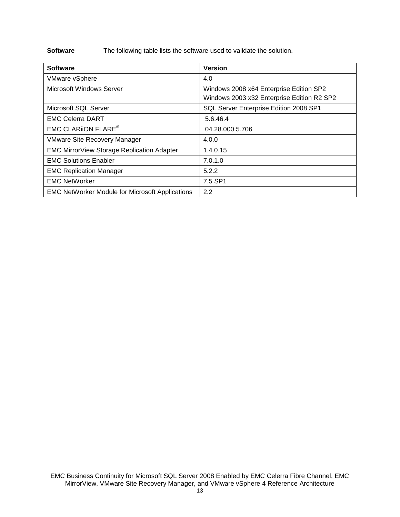**Software** The following table lists the software used to validate the solution.

| <b>Software</b>                                        | <b>Version</b>                                                                        |
|--------------------------------------------------------|---------------------------------------------------------------------------------------|
| <b>VMware vSphere</b>                                  | 4.0                                                                                   |
| Microsoft Windows Server                               | Windows 2008 x64 Enterprise Edition SP2<br>Windows 2003 x32 Enterprise Edition R2 SP2 |
| Microsoft SQL Server                                   | SQL Server Enterprise Edition 2008 SP1                                                |
| <b>EMC Celerra DART</b>                                | 5.6.46.4                                                                              |
| <b>EMC CLARION FLARE<sup>®</sup></b>                   | 04.28.000.5.706                                                                       |
| <b>VMware Site Recovery Manager</b>                    | 4.0.0                                                                                 |
| <b>EMC MirrorView Storage Replication Adapter</b>      | 1.4.0.15                                                                              |
| <b>EMC Solutions Enabler</b>                           | 7.0.1.0                                                                               |
| <b>EMC Replication Manager</b>                         | 5.2.2                                                                                 |
| <b>EMC NetWorker</b>                                   | 7.5 SP1                                                                               |
| <b>EMC NetWorker Module for Microsoft Applications</b> | 2.2                                                                                   |